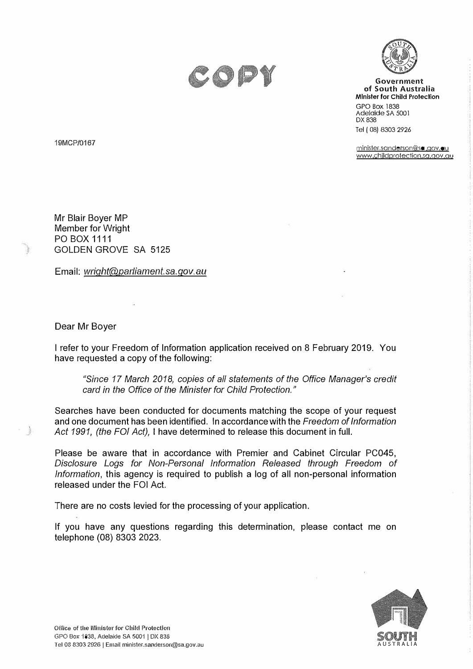

**Government of South Australia Minister for Child Protection**  GPO Box 1838 Adelaide SA 5001 DX 838 Tel ( 08) 8303 2926

rninisler.sanderson@sa gov,qu www.childprotection,sa,qov,au

19MCP/0167

Mr Blair Boyer MP Member for Wright PO BOX 1111 GOLDEN GROVE SA 5125

Email: *wright@parliament.sa.gov.au* 

Dear Mr Boyer

I refer to your Freedom of Information application received on 8 February 2019. You have requested a copy of the following:

*"Since 17 March 2018, copies of all statements of the Office Manager's credit card in the Office of the Minister for Child Protection."* 

Searches have been conducted for documents matching the scope of your request and one document has been identified. In accordance with the *Freedom of Information Act 1991, (the FOi Act),* I have determined to release this document in full.

Please be aware that in accordance with Premier and Cabinet Circular PC045, *Disclosure Logs for Non-Personal Information Released through Freedom of Information,* this agency is required to publish a log of all non-personal information released under the FOi Act.

There are no costs levied for the processing of your application.

If you have any questions regarding this determination, please contact me on telephone (08) 8303 2023.

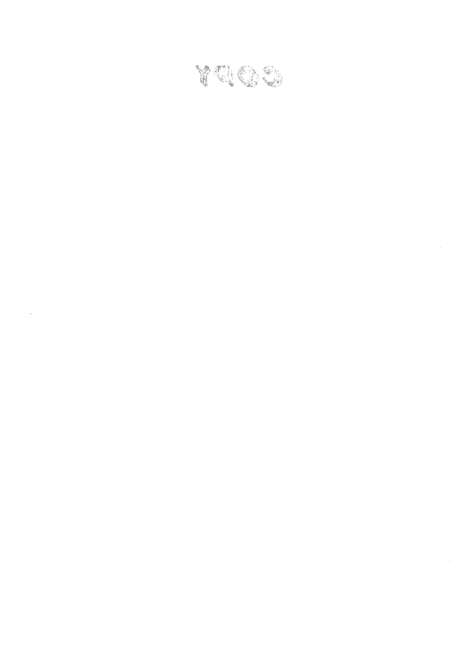

 $\label{eq:2.1} \frac{1}{2} \sum_{i=1}^n \frac{1}{2} \sum_{j=1}^n \frac{1}{2} \sum_{j=1}^n \frac{1}{2} \sum_{j=1}^n \frac{1}{2} \sum_{j=1}^n \frac{1}{2} \sum_{j=1}^n \frac{1}{2} \sum_{j=1}^n \frac{1}{2} \sum_{j=1}^n \frac{1}{2} \sum_{j=1}^n \frac{1}{2} \sum_{j=1}^n \frac{1}{2} \sum_{j=1}^n \frac{1}{2} \sum_{j=1}^n \frac{1}{2} \sum_{j=1}^n \frac{$ 

 $\label{eq:2.1} \frac{1}{\sqrt{2}}\left(\frac{1}{\sqrt{2}}\right)^{2} \left(\frac{1}{\sqrt{2}}\right)^{2} \left(\frac{1}{\sqrt{2}}\right)^{2} \left(\frac{1}{\sqrt{2}}\right)^{2} \left(\frac{1}{\sqrt{2}}\right)^{2} \left(\frac{1}{\sqrt{2}}\right)^{2} \left(\frac{1}{\sqrt{2}}\right)^{2} \left(\frac{1}{\sqrt{2}}\right)^{2} \left(\frac{1}{\sqrt{2}}\right)^{2} \left(\frac{1}{\sqrt{2}}\right)^{2} \left(\frac{1}{\sqrt{2}}\right)^{2} \left(\$ 

 $\label{eq:2.1} \frac{1}{\sqrt{2}}\int_{\mathbb{R}^3}\frac{1}{\sqrt{2}}\left(\frac{1}{\sqrt{2}}\right)^2\frac{1}{\sqrt{2}}\left(\frac{1}{\sqrt{2}}\right)^2\frac{1}{\sqrt{2}}\left(\frac{1}{\sqrt{2}}\right)^2\frac{1}{\sqrt{2}}\left(\frac{1}{\sqrt{2}}\right)^2.$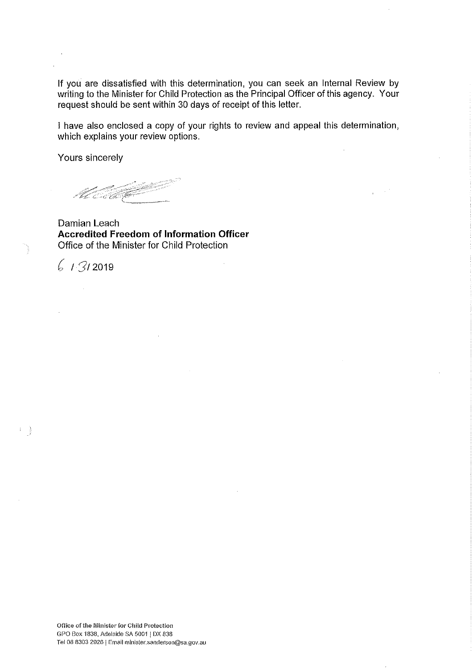If you are dissatisfied with this determination, you can seek an Internal Review by writing to the Minister for Child Protection as the Principal Officer of this agency. Your request should be sent within 30 days of receipt of this letter.

I have also enclosed a copy of your rights to review and appeal this determination, which explains your review options.

Yours sincerely

س<br>مریکی مسیح

Damian Leach **Accredited Freedom of Information Officer** Office of the Minister for Child Protection

 $6/3/2019$ 

+ }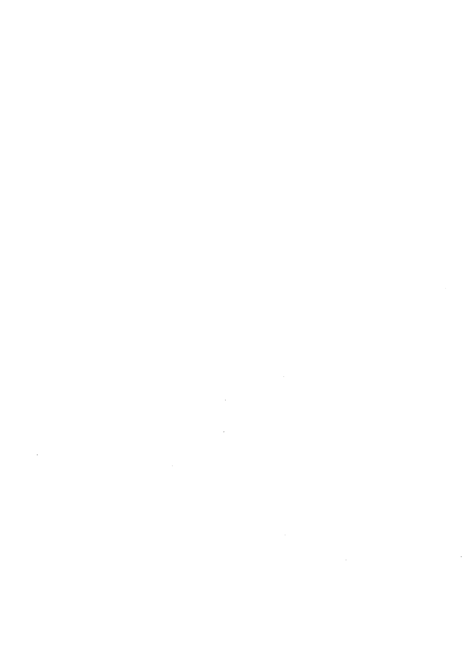$\label{eq:2.1} \mathcal{L}(\mathcal{L}^{\text{max}}_{\mathcal{L}}(\mathcal{L}^{\text{max}}_{\mathcal{L}}),\mathcal{L}^{\text{max}}_{\mathcal{L}^{\text{max}}_{\mathcal{L}}(\mathcal{L}^{\text{max}}_{\mathcal{L}^{\text{max}}_{\mathcal{L}^{\text{max}}_{\mathcal{L}^{\text{max}}_{\mathcal{L}^{\text{max}}_{\mathcal{L}^{\text{max}}_{\mathcal{L}^{\text{max}}_{\mathcal{L}^{\text{max}}_{\mathcal{L}^{\text{max}}_{\mathcal{L}^{\text{max}}_{\mathcal{$ 

 $\label{eq:2.1} \frac{1}{\sqrt{2}}\int_{\mathbb{R}^3}\frac{1}{\sqrt{2}}\left(\frac{1}{\sqrt{2}}\right)^2\frac{1}{\sqrt{2}}\left(\frac{1}{\sqrt{2}}\right)^2\frac{1}{\sqrt{2}}\left(\frac{1}{\sqrt{2}}\right)^2\frac{1}{\sqrt{2}}\left(\frac{1}{\sqrt{2}}\right)^2.$  $\label{eq:2.1} \mathcal{L}(\mathcal{L}^{\text{max}}_{\mathcal{L}}(\mathcal{L}^{\text{max}}_{\mathcal{L}}(\mathcal{L}^{\text{max}}_{\mathcal{L}}(\mathcal{L}^{\text{max}}_{\mathcal{L}^{\text{max}}_{\mathcal{L}}(\mathcal{L}^{\text{max}}_{\mathcal{L}^{\text{max}}_{\mathcal{L}^{\text{max}}_{\mathcal{L}^{\text{max}}_{\mathcal{L}^{\text{max}}_{\mathcal{L}^{\text{max}}_{\mathcal{L}^{\text{max}}_{\mathcal{L}^{\text{max}}_{\mathcal{L}^{\text{max}}$  $\label{eq:2.1} \frac{1}{\sqrt{2}}\sum_{i=1}^n\frac{1}{\sqrt{2}}\sum_{i=1}^n\frac{1}{\sqrt{2}}\sum_{i=1}^n\frac{1}{\sqrt{2}}\sum_{i=1}^n\frac{1}{\sqrt{2}}\sum_{i=1}^n\frac{1}{\sqrt{2}}\sum_{i=1}^n\frac{1}{\sqrt{2}}\sum_{i=1}^n\frac{1}{\sqrt{2}}\sum_{i=1}^n\frac{1}{\sqrt{2}}\sum_{i=1}^n\frac{1}{\sqrt{2}}\sum_{i=1}^n\frac{1}{\sqrt{2}}\sum_{i=1}^n\frac$ 

 $\label{eq:2.1} \frac{1}{\sqrt{2}}\sum_{i=1}^n\frac{1}{\sqrt{2}}\sum_{i=1}^n\frac{1}{\sqrt{2}}\sum_{i=1}^n\frac{1}{\sqrt{2}}\sum_{i=1}^n\frac{1}{\sqrt{2}}\sum_{i=1}^n\frac{1}{\sqrt{2}}\sum_{i=1}^n\frac{1}{\sqrt{2}}\sum_{i=1}^n\frac{1}{\sqrt{2}}\sum_{i=1}^n\frac{1}{\sqrt{2}}\sum_{i=1}^n\frac{1}{\sqrt{2}}\sum_{i=1}^n\frac{1}{\sqrt{2}}\sum_{i=1}^n\frac$  $\label{eq:2.1} \frac{1}{\sqrt{2}}\int_{\mathbb{R}^3}\frac{1}{\sqrt{2}}\left(\frac{1}{\sqrt{2}}\right)^2\frac{1}{\sqrt{2}}\left(\frac{1}{\sqrt{2}}\right)^2\frac{1}{\sqrt{2}}\left(\frac{1}{\sqrt{2}}\right)^2.$  $\label{eq:2.1} \frac{1}{\sqrt{2}}\int_{\mathbb{R}^3}\frac{1}{\sqrt{2}}\left(\frac{1}{\sqrt{2}}\right)^2\frac{1}{\sqrt{2}}\left(\frac{1}{\sqrt{2}}\right)^2\frac{1}{\sqrt{2}}\left(\frac{1}{\sqrt{2}}\right)^2\frac{1}{\sqrt{2}}\left(\frac{1}{\sqrt{2}}\right)^2\frac{1}{\sqrt{2}}\left(\frac{1}{\sqrt{2}}\right)^2\frac{1}{\sqrt{2}}\frac{1}{\sqrt{2}}\frac{1}{\sqrt{2}}\frac{1}{\sqrt{2}}\frac{1}{\sqrt{2}}\frac{1}{\sqrt{2}}$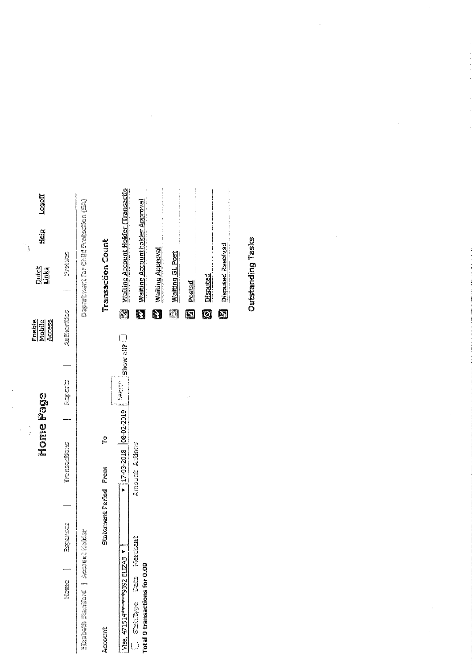|                                       | <b>Home Page</b><br>$\sum_{i=1}^n$ |                            | Enable<br>Mobile<br>Access | Logoff<br>Help<br><b>Quick</b><br>Links                                                                                                                                                                                       |  |
|---------------------------------------|------------------------------------|----------------------------|----------------------------|-------------------------------------------------------------------------------------------------------------------------------------------------------------------------------------------------------------------------------|--|
| 留めに<br>言りさば<br><b>CONDE</b>           | Transachons                        | Reports                    | Audinerinas                | Profiles                                                                                                                                                                                                                      |  |
| Account Nolder<br>Elizabeth Staniford |                                    |                            |                            | Alexantures for Chile Protection (SA)                                                                                                                                                                                         |  |
| Statement Periodi From<br>Account     | Ĉ                                  |                            |                            | <b>Transaction Count</b>                                                                                                                                                                                                      |  |
| Visa, 471514******9392 ELIZAB         | $\sqrt{17-03-2018}$ 08-02-2019     | Show all?<br><b>Search</b> |                            | <b>Waiting Account Holder (Transaction</b>                                                                                                                                                                                    |  |
| Nerchant<br>Oate<br>Subject of        | <b>Manufacture</b>                 |                            | Ŋ                          | Waiting Accountholder Approval                                                                                                                                                                                                |  |
| Total 0 transactions for 0.00         |                                    |                            |                            | a construction of the construction of the construction of the construction of the construction of the construction of the construction of the construction of the construction of the construction of the construction of the |  |
|                                       |                                    |                            | É1                         | the line of the West party is the company of the company of the company of the company<br>Waiting Approval                                                                                                                    |  |
|                                       |                                    |                            | M                          | <b>Waiting GL Post</b>                                                                                                                                                                                                        |  |
|                                       |                                    |                            | $\mathbf{Z}$               | ----------<br>Posted                                                                                                                                                                                                          |  |
|                                       |                                    |                            | Ø                          | Disputed <b>contract of the contract</b>                                                                                                                                                                                      |  |

 $\bar{1}$ 

 $\hat{\mathcal{A}}$ 

**Outstanding Tasks** 

Disputed Resolved

 $\ddot{\phantom{0}}$ 

 $\hat{\boldsymbol{\beta}}$ 

 $\frac{1}{2}$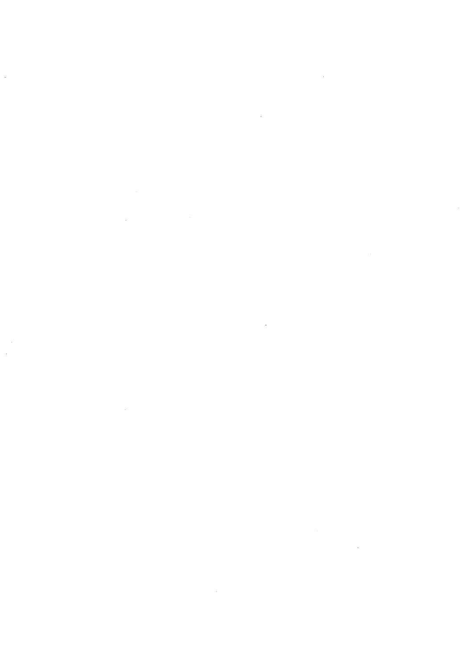$\label{eq:2.1} \frac{1}{\sqrt{2}}\int_{\mathbb{R}^3}\frac{1}{\sqrt{2}}\left(\frac{1}{\sqrt{2}}\right)^2\frac{1}{\sqrt{2}}\left(\frac{1}{\sqrt{2}}\right)^2\frac{1}{\sqrt{2}}\left(\frac{1}{\sqrt{2}}\right)^2\frac{1}{\sqrt{2}}\left(\frac{1}{\sqrt{2}}\right)^2\frac{1}{\sqrt{2}}\left(\frac{1}{\sqrt{2}}\right)^2\frac{1}{\sqrt{2}}\frac{1}{\sqrt{2}}\frac{1}{\sqrt{2}}\frac{1}{\sqrt{2}}\frac{1}{\sqrt{2}}\frac{1}{\sqrt{2}}$ 

 $\mathcal{L}^{(1)}$  ,  $\mathcal{L}^{(2)}$ 

 $\label{eq:2.1} \frac{1}{\sqrt{2}}\left(\frac{1}{\sqrt{2}}\right)^{2} \left(\frac{1}{\sqrt{2}}\right)^{2} \left(\frac{1}{\sqrt{2}}\right)^{2} \left(\frac{1}{\sqrt{2}}\right)^{2} \left(\frac{1}{\sqrt{2}}\right)^{2} \left(\frac{1}{\sqrt{2}}\right)^{2} \left(\frac{1}{\sqrt{2}}\right)^{2} \left(\frac{1}{\sqrt{2}}\right)^{2} \left(\frac{1}{\sqrt{2}}\right)^{2} \left(\frac{1}{\sqrt{2}}\right)^{2} \left(\frac{1}{\sqrt{2}}\right)^{2} \left(\$ 

 $\label{eq:2.1} \mathcal{L}(\mathcal{L}^{\mathcal{L}}_{\mathcal{L}}(\mathcal{L}^{\mathcal{L}}_{\mathcal{L}})) \leq \mathcal{L}(\mathcal{L}^{\mathcal{L}}_{\mathcal{L}}(\mathcal{L}^{\mathcal{L}}_{\mathcal{L}})) \leq \mathcal{L}(\mathcal{L}^{\mathcal{L}}_{\mathcal{L}}(\mathcal{L}^{\mathcal{L}}_{\mathcal{L}}))$ 

 $\label{eq:2.1} \begin{split} \frac{d}{dt} \frac{d}{dt} \left( \frac{d}{dt} \right) & = \frac{1}{2} \left( \frac{d}{dt} \right) \frac{d}{dt} \left( \frac{d}{dt} \right) \frac{d}{dt} \left( \frac{d}{dt} \right) \frac{d}{dt} \left( \frac{d}{dt} \right) \frac{d}{dt} \left( \frac{d}{dt} \right) \frac{d}{dt} \left( \frac{d}{dt} \right) \frac{d}{dt} \left( \frac{d}{dt} \right) \frac{d}{dt} \left( \frac{d}{dt} \right) \frac{d}{dt} \left( \frac{d}{dt}$ 

 $\label{eq:2.1} \frac{1}{\sqrt{2}}\int_{\mathbb{R}^3}\frac{1}{\sqrt{2}}\left(\frac{1}{\sqrt{2}}\right)^2\frac{1}{\sqrt{2}}\left(\frac{1}{\sqrt{2}}\right)^2\frac{1}{\sqrt{2}}\left(\frac{1}{\sqrt{2}}\right)^2\frac{1}{\sqrt{2}}\left(\frac{1}{\sqrt{2}}\right)^2.$ 

 $\label{eq:2.1} \frac{1}{\sqrt{2}}\left(\frac{1}{\sqrt{2}}\right)^{2} \left(\frac{1}{\sqrt{2}}\right)^{2} \left(\frac{1}{\sqrt{2}}\right)^{2} \left(\frac{1}{\sqrt{2}}\right)^{2} \left(\frac{1}{\sqrt{2}}\right)^{2} \left(\frac{1}{\sqrt{2}}\right)^{2} \left(\frac{1}{\sqrt{2}}\right)^{2} \left(\frac{1}{\sqrt{2}}\right)^{2} \left(\frac{1}{\sqrt{2}}\right)^{2} \left(\frac{1}{\sqrt{2}}\right)^{2} \left(\frac{1}{\sqrt{2}}\right)^{2} \left(\$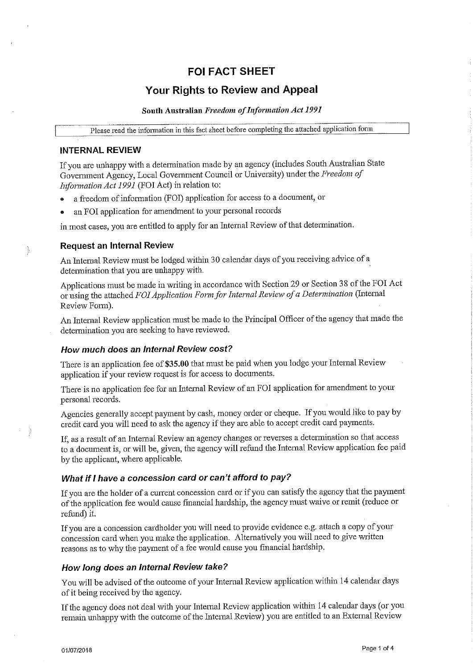## **FOI FACT SHEET**

### **Your Rights to Review and Appeal**

#### South Australian Freedom of Information Act 1991

Please read the information in this fact sheet before completing the attached application form

#### **INTERNAL REVIEW**

If you are unhappy with a determination made by an agency (includes South Australian State Government Agency, Local Government Council or University) under the Freedom of Information Act 1991 (FOI Act) in relation to:

- a freedom of information (FOI) application for access to a document, or  $\bullet$
- an FOI application for amendment to your personal records

in most cases, you are entitled to apply for an Internal Review of that determination.

#### **Request an Internal Review**

An Internal Review must be lodged within 30 calendar days of you receiving advice of a determination that you are unhappy with.

Applications must be made in writing in accordance with Section 29 or Section 38 of the FOI Act or using the attached FOI Application Form for Internal Review of a Determination (Internal Review Form).

An Internal Review application must be made to the Principal Officer of the agency that made the determination you are seeking to have reviewed.

#### How much does an Internal Review cost?

There is an application fee of \$35.00 that must be paid when you lodge your Internal Review application if your review request is for access to documents.

There is no application fee for an Internal Review of an FOI application for amendment to your personal records.

Agencies generally accept payment by cash, money order or cheque. If you would like to pay by credit card you will need to ask the agency if they are able to accept credit card payments.

If, as a result of an Internal Review an agency changes or reverses a determination so that access to a document is, or will be, given, the agency will refund the Internal Review application fee paid by the applicant, where applicable.

#### What if I have a concession card or can't afford to pay?

If you are the holder of a current concession card or if you can satisfy the agency that the payment of the application fee would cause financial hardship, the agency must waive or remit (reduce or refund) it.

If you are a concession cardholder you will need to provide evidence e.g. attach a copy of your concession card when you make the application. Alternatively you will need to give written reasons as to why the payment of a fee would cause you financial hardship.

#### How long does an Internal Review take?

You will be advised of the outcome of your Internal Review application within 14 calendar days of it being received by the agency.

If the agency does not deal with your Internal Review application within 14 calendar days (or you remain unhappy with the outcome of the Internal Review) you are entitled to an External Review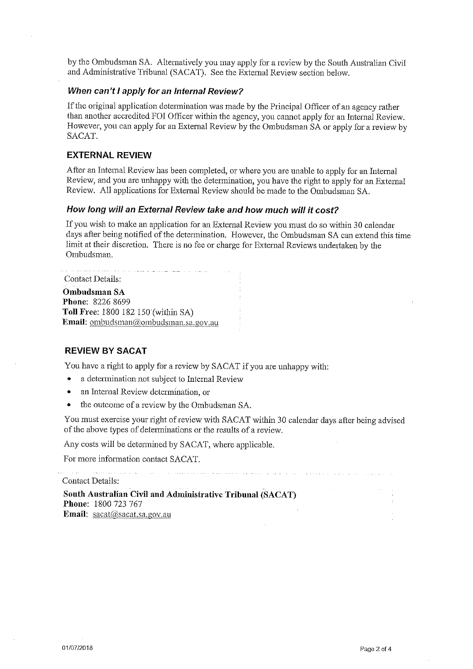by the Ombudsman SA. Alternatively you may apply for a review by the South Australian Civil and Administrative Tribunal (SACAT). See the External Review section below.

#### When can't I apply for an Internal Review?

If the original application determination was made by the Principal Officer of an agency rather than another accredited FOI Officer within the agency, you cannot apply for an Internal Review. However, you can apply for an External Review by the Ombudsman SA or apply for a review by SACAT.

### **EXTERNAL REVIEW**

After an Internal Review has been completed, or where you are unable to apply for an Internal Review, and you are unhappy with the determination, you have the right to apply for an External Review. All applications for External Review should be made to the Ombudsman SA.

#### How long will an External Review take and how much will it cost?

If you wish to make an application for an External Review you must do so within 30 calendar days after being notified of the determination. However, the Ombudsman SA can extend this time limit at their discretion. There is no fee or charge for External Reviews undertaken by the Ombudsman.

and a construction of the control of Contact Details:

**Ombudsman SA** Phone: 8226 8699 Toll Free: 1800 182 150 (within SA) Email: ombudsman@ombudsman.sa.gov.au

#### **REVIEW BY SACAT**

You have a right to apply for a review by SACAT if you are unhappy with:

- a determination not subject to Internal Review
- an Internal Review determination, or
- the outcome of a review by the Ombudsman SA.

You must exercise your right of review with SACAT within 30 calendar days after being advised of the above types of determinations or the results of a review.

Any costs will be determined by SACAT, where applicable.

For more information contact SACAT.

ing a shekarar ne s Contact Details: South Australian Civil and Administrative Tribunal (SACAT) **Phone: 1800 723 767** Email: sacat@sacat.sa.gov.au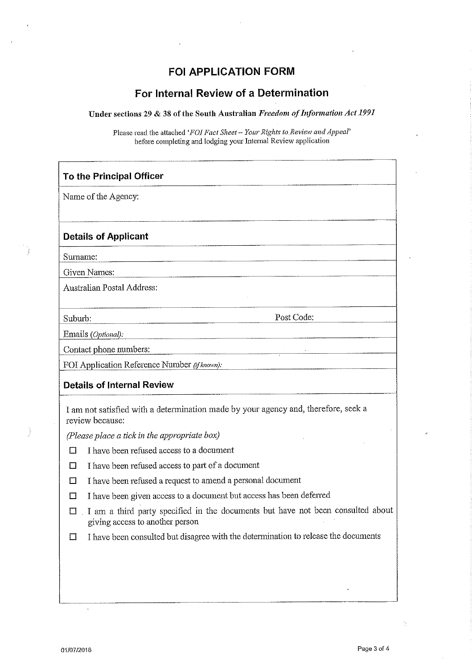# **FOI APPLICATION FORM**

# For Internal Review of a Determination

Under sections 29 & 38 of the South Australian Freedom of Information Act 1991

Please read the attached 'FOI Fact Sheet - Your Rights to Review and Appeal' before completing and lodging your Internal Review application

| To the Principal Officer                                                                                           |
|--------------------------------------------------------------------------------------------------------------------|
| Name of the Agency:                                                                                                |
|                                                                                                                    |
| <b>Details of Applicant</b>                                                                                        |
| Surname:                                                                                                           |
| <b>Given Names:</b>                                                                                                |
| <b>Australian Postal Address:</b>                                                                                  |
| Post Code:<br>Suburb:                                                                                              |
| Emails (Optional).                                                                                                 |
| Contact phone numbers:                                                                                             |
| FOI Application Reference Number (if known):                                                                       |
| <b>Details of Internal Review</b>                                                                                  |
| I am not satisfied with a determination made by your agency and, therefore, seek a<br>review because:              |
| (Please place a tick in the appropriate box)                                                                       |
| I have been refused access to a document<br>П                                                                      |
| I have been refused access to part of a document<br>П                                                              |
| I have been refused a request to amend a personal document<br>П                                                    |
| I have been given access to a document but access has been deferred<br>П                                           |
| I am a third party specified in the documents but have not been consulted about<br>giving access to another person |
| I have been consulted but disagree with the determination to release the documents<br>∣ ∣                          |
|                                                                                                                    |
|                                                                                                                    |
|                                                                                                                    |
|                                                                                                                    |

i<br>Parado